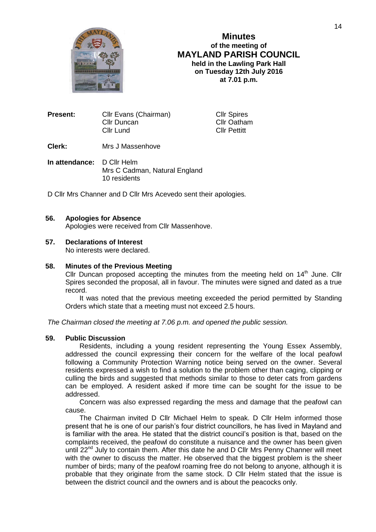

# **Minutes of the meeting of MAYLAND PARISH COUNCIL held in the Lawling Park Hall on Tuesday 12th July 2016 at 7.01 p.m.**

| <b>Present:</b> | Cllr Evans (Chairman) | <b>CIIr Spires</b>  |  |
|-----------------|-----------------------|---------------------|--|
|                 | Cllr Duncan           | <b>Cllr Oatham</b>  |  |
|                 | Cllr Lund             | <b>Cllr Pettitt</b> |  |
|                 |                       |                     |  |

## **Clerk:** Mrs J Massenhove

**In attendance:** D Cllr Helm Mrs C Cadman, Natural England 10 residents

D Cllr Mrs Channer and D Cllr Mrs Acevedo sent their apologies*.*

#### **56. Apologies for Absence**

Apologies were received from Cllr Massenhove.

## **57. Declarations of Interest**

No interests were declared.

## **58. Minutes of the Previous Meeting**

Cllr Duncan proposed accepting the minutes from the meeting held on  $14<sup>th</sup>$  June. Cllr Spires seconded the proposal, all in favour. The minutes were signed and dated as a true record.

It was noted that the previous meeting exceeded the period permitted by Standing Orders which state that a meeting must not exceed 2.5 hours.

*The Chairman closed the meeting at 7.06 p.m. and opened the public session.*

#### **59. Public Discussion**

Residents, including a young resident representing the Young Essex Assembly, addressed the council expressing their concern for the welfare of the local peafowl following a Community Protection Warning notice being served on the owner. Several residents expressed a wish to find a solution to the problem other than caging, clipping or culling the birds and suggested that methods similar to those to deter cats from gardens can be employed. A resident asked if more time can be sought for the issue to be addressed.

Concern was also expressed regarding the mess and damage that the peafowl can cause.

The Chairman invited D Cllr Michael Helm to speak. D Cllr Helm informed those present that he is one of our parish's four district councillors, he has lived in Mayland and is familiar with the area. He stated that the district council's position is that, based on the complaints received, the peafowl do constitute a nuisance and the owner has been given until  $22<sup>nd</sup>$  July to contain them. After this date he and D Cllr Mrs Penny Channer will meet with the owner to discuss the matter. He observed that the biggest problem is the sheer number of birds; many of the peafowl roaming free do not belong to anyone, although it is probable that they originate from the same stock. D Cllr Helm stated that the issue is between the district council and the owners and is about the peacocks only.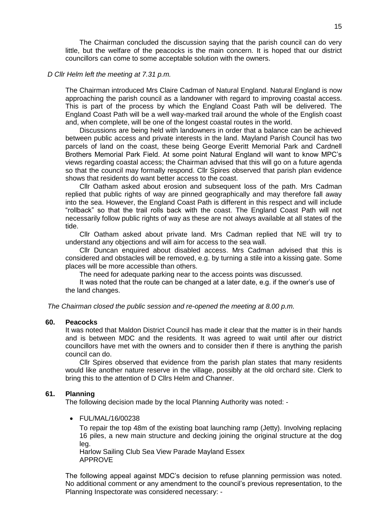The Chairman concluded the discussion saying that the parish council can do very little, but the welfare of the peacocks is the main concern. It is hoped that our district councillors can come to some acceptable solution with the owners.

#### *D Cllr Helm left the meeting at 7.31 p.m.*

The Chairman introduced Mrs Claire Cadman of Natural England. Natural England is now approaching the parish council as a landowner with regard to improving coastal access. This is part of the process by which the England Coast Path will be delivered. The England Coast Path will be a well way-marked trail around the whole of the English coast and, when complete, will be one of the longest coastal routes in the world.

Discussions are being held with landowners in order that a balance can be achieved between public access and private interests in the land. Mayland Parish Council has two parcels of land on the coast, these being George Everitt Memorial Park and Cardnell Brothers Memorial Park Field. At some point Natural England will want to know MPC's views regarding coastal access; the Chairman advised that this will go on a future agenda so that the council may formally respond. Cllr Spires observed that parish plan evidence shows that residents do want better access to the coast.

Cllr Oatham asked about erosion and subsequent loss of the path. Mrs Cadman replied that public rights of way are pinned geographically and may therefore fall away into the sea. However, the England Coast Path is different in this respect and will include "rollback" so that the trail rolls back with the coast. The England Coast Path will not necessarily follow public rights of way as these are not always available at all states of the tide.

Cllr Oatham asked about private land. Mrs Cadman replied that NE will try to understand any objections and will aim for access to the sea wall.

Cllr Duncan enquired about disabled access. Mrs Cadman advised that this is considered and obstacles will be removed, e.g. by turning a stile into a kissing gate. Some places will be more accessible than others.

The need for adequate parking near to the access points was discussed.

It was noted that the route can be changed at a later date, e.g. if the owner's use of the land changes.

*The Chairman closed the public session and re-opened the meeting at 8.00 p.m.*

## **60. Peacocks**

It was noted that Maldon District Council has made it clear that the matter is in their hands and is between MDC and the residents. It was agreed to wait until after our district councillors have met with the owners and to consider then if there is anything the parish council can do.

Cllr Spires observed that evidence from the parish plan states that many residents would like another nature reserve in the village, possibly at the old orchard site. Clerk to bring this to the attention of D Cllrs Helm and Channer.

#### **61. Planning**

The following decision made by the local Planning Authority was noted: -

FUL/MAL/16/00238

To repair the top 48m of the existing boat launching ramp (Jetty). Involving replacing 16 piles, a new main structure and decking joining the original structure at the dog leg.

Harlow Sailing Club Sea View Parade Mayland Essex APPROVE

The following appeal against MDC's decision to refuse planning permission was noted. No additional comment or any amendment to the council's previous representation, to the Planning Inspectorate was considered necessary: -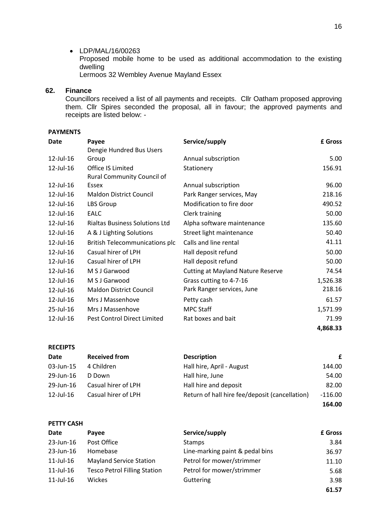#### • LDP/MAL/16/00263

Proposed mobile home to be used as additional accommodation to the existing dwelling

Lermoos 32 Wembley Avenue Mayland Essex

## **62. Finance**

Councillors received a list of all payments and receipts. Cllr Oatham proposed approving them. Cllr Spires seconded the proposal, all in favour; the approved payments and receipts are listed below: -

## **PAYMENTS**

**PETTY CASH**

| Date         | Payee                                 | Service/supply                           | <b>£</b> Gross |
|--------------|---------------------------------------|------------------------------------------|----------------|
|              | Dengie Hundred Bus Users              |                                          |                |
| $12$ -Jul-16 | Group                                 | Annual subscription                      | 5.00           |
| 12-Jul-16    | <b>Office IS Limited</b>              | Stationery                               | 156.91         |
|              | <b>Rural Community Council of</b>     |                                          |                |
| 12-Jul-16    | Essex                                 | Annual subscription                      | 96.00          |
| 12-Jul-16    | <b>Maldon District Council</b>        | Park Ranger services, May                | 218.16         |
| 12-Jul-16    | LBS Group                             | Modification to fire door                | 490.52         |
| 12-Jul-16    | <b>EALC</b>                           | Clerk training                           | 50.00          |
| 12-Jul-16    | <b>Rialtas Business Solutions Ltd</b> | Alpha software maintenance               | 135.60         |
| 12-Jul-16    | A & J Lighting Solutions              | Street light maintenance                 | 50.40          |
| 12-Jul-16    | <b>British Telecommunications plc</b> | Calls and line rental                    | 41.11          |
| 12-Jul-16    | Casual hirer of LPH                   | Hall deposit refund                      | 50.00          |
| 12-Jul-16    | Casual hirer of LPH                   | Hall deposit refund                      | 50.00          |
| 12-Jul-16    | M S J Garwood                         | <b>Cutting at Mayland Nature Reserve</b> | 74.54          |
| 12-Jul-16    | M S J Garwood                         | Grass cutting to 4-7-16                  | 1,526.38       |
| 12-Jul-16    | <b>Maldon District Council</b>        | Park Ranger services, June               | 218.16         |
| 12-Jul-16    | Mrs J Massenhove                      | Petty cash                               | 61.57          |
| 25-Jul-16    | Mrs J Massenhove                      | <b>MPC Staff</b>                         | 1,571.99       |
| 12-Jul-16    | Pest Control Direct Limited           | Rat boxes and bait                       | 71.99          |
|              |                                       |                                          | 4,868.33       |

| <b>RECEIPTS</b> |                      |                                                |           |  |  |
|-----------------|----------------------|------------------------------------------------|-----------|--|--|
| Date            | <b>Received from</b> | <b>Description</b>                             | £         |  |  |
| 03-Jun-15       | 4 Children           | Hall hire, April - August                      | 144.00    |  |  |
| 29-Jun-16       | D Down               | Hall hire, June                                | 54.00     |  |  |
| 29-Jun-16       | Casual hirer of LPH  | Hall hire and deposit                          | 82.00     |  |  |
| 12-Jul-16       | Casual hirer of LPH  | Return of hall hire fee/deposit (cancellation) | $-116.00$ |  |  |
|                 |                      |                                                | 164.00    |  |  |

| <b>Date</b>     | Payee                               | Service/supply                  | £ Gross |
|-----------------|-------------------------------------|---------------------------------|---------|
| 23-Jun-16       | Post Office                         | Stamps                          | 3.84    |
| $23$ -Jun-16    | Homebase                            | Line-marking paint & pedal bins | 36.97   |
| $11$ -Jul- $16$ | <b>Mayland Service Station</b>      | Petrol for mower/strimmer       | 11.10   |
| $11$ -Jul- $16$ | <b>Tesco Petrol Filling Station</b> | Petrol for mower/strimmer       | 5.68    |
| $11$ -Jul-16    | Wickes                              | Guttering                       | 3.98    |
|                 |                                     |                                 | 61.57   |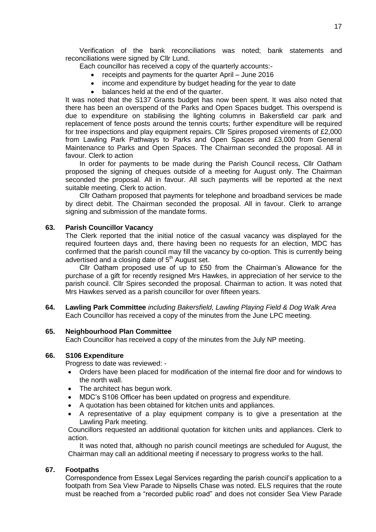Verification of the bank reconciliations was noted; bank statements and reconciliations were signed by Cllr Lund.

Each councillor has received a copy of the quarterly accounts:-

- receipts and payments for the quarter April June 2016
- income and expenditure by budget heading for the year to date
- balances held at the end of the quarter.

It was noted that the S137 Grants budget has now been spent. It was also noted that there has been an overspend of the Parks and Open Spaces budget. This overspend is due to expenditure on stabilising the lighting columns in Bakersfield car park and replacement of fence posts around the tennis courts; further expenditure will be required for tree inspections and play equipment repairs. Cllr Spires proposed virements of £2,000 from Lawling Park Pathways to Parks and Open Spaces and £3,000 from General Maintenance to Parks and Open Spaces. The Chairman seconded the proposal. All in favour. Clerk to action

In order for payments to be made during the Parish Council recess, Cllr Oatham proposed the signing of cheques outside of a meeting for August only. The Chairman seconded the proposal. All in favour. All such payments will be reported at the next suitable meeting. Clerk to action.

Cllr Oatham proposed that payments for telephone and broadband services be made by direct debit. The Chairman seconded the proposal. All in favour. Clerk to arrange signing and submission of the mandate forms.

## **63. Parish Councillor Vacancy**

The Clerk reported that the initial notice of the casual vacancy was displayed for the required fourteen days and, there having been no requests for an election, MDC has confirmed that the parish council may fill the vacancy by co-option. This is currently being advertised and a closing date of  $5<sup>th</sup>$  August set.

Cllr Oatham proposed use of up to £50 from the Chairman's Allowance for the purchase of a gift for recently resigned Mrs Hawkes, in appreciation of her service to the parish council. Cllr Spires seconded the proposal. Chairman to action. It was noted that Mrs Hawkes served as a parish councillor for over fifteen years.

**64. Lawling Park Committee** *including Bakersfield, Lawling Playing Field & Dog Walk Area* Each Councillor has received a copy of the minutes from the June LPC meeting.

## **65. Neighbourhood Plan Committee**

Each Councillor has received a copy of the minutes from the July NP meeting.

## **66. S106 Expenditure**

Progress to date was reviewed: -

- Orders have been placed for modification of the internal fire door and for windows to the north wall.
- The architect has begun work.
- MDC's S106 Officer has been updated on progress and expenditure.
- A quotation has been obtained for kitchen units and appliances.
- A representative of a play equipment company is to give a presentation at the Lawling Park meeting.

Councillors requested an additional quotation for kitchen units and appliances. Clerk to action.

It was noted that, although no parish council meetings are scheduled for August, the Chairman may call an additional meeting if necessary to progress works to the hall.

## **67. Footpaths**

Correspondence from Essex Legal Services regarding the parish council's application to a footpath from Sea View Parade to Nipsells Chase was noted. ELS requires that the route must be reached from a "recorded public road" and does not consider Sea View Parade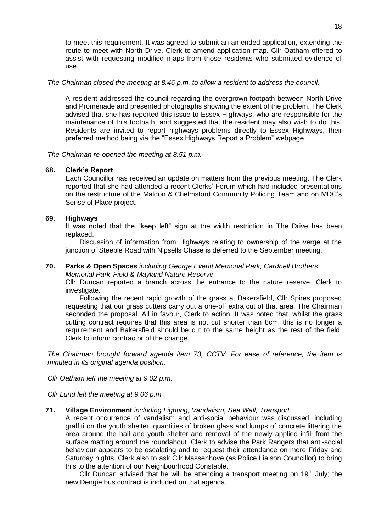to meet this requirement. It was agreed to submit an amended application, extending the route to meet with North Drive. Clerk to amend application map. Cllr Oatham offered to assist with requesting modified maps from those residents who submitted evidence of use.

## *The Chairman closed the meeting at 8.46 p.m. to allow a resident to address the council.*

A resident addressed the council regarding the overgrown footpath between North Drive and Promenade and presented photographs showing the extent of the problem. The Clerk advised that she has reported this issue to Essex Highways, who are responsible for the maintenance of this footpath, and suggested that the resident may also wish to do this. Residents are invited to report highways problems directly to Essex Highways, their preferred method being via the "Essex Highways Report a Problem" webpage.

*The Chairman re-opened the meeting at 8.51 p.m.*

# **68. Clerk's Report**

Each Councillor has received an update on matters from the previous meeting. The Clerk reported that she had attended a recent Clerks' Forum which had included presentations on the restructure of the Maldon & Chelmsford Community Policing Team and on MDC's Sense of Place project.

## **69. Highways**

It was noted that the "keep left" sign at the width restriction in The Drive has been replaced.

Discussion of information from Highways relating to ownership of the verge at the junction of Steeple Road with Nipsells Chase is deferred to the September meeting.

# **70. Parks & Open Spaces** *including George Everitt Memorial Park, Cardnell Brothers*

*Memorial Park Field & Mayland Nature Reserve*

Cllr Duncan reported a branch across the entrance to the nature reserve. Clerk to investigate.

Following the recent rapid growth of the grass at Bakersfield, Cllr Spires proposed requesting that our grass cutters carry out a one-off extra cut of that area. The Chairman seconded the proposal. All in favour, Clerk to action. It was noted that, whilst the grass cutting contract requires that this area is not cut shorter than 8cm, this is no longer a requirement and Bakersfield should be cut to the same height as the rest of the field. Clerk to inform contractor of the change.

*The Chairman brought forward agenda item 73, CCTV. For ease of reference, the item is minuted in its original agenda position.*

*Cllr Oatham left the meeting at 9.02 p.m.*

*Cllr Lund left the meeting at 9.06 p.m.*

# **71. Village Environment** *including Lighting, Vandalism, Sea Wall, Transport*

A recent occurrence of vandalism and anti-social behaviour was discussed, including graffiti on the youth shelter, quantities of broken glass and lumps of concrete littering the area around the hall and youth shelter and removal of the newly applied infill from the surface matting around the roundabout. Clerk to advise the Park Rangers that anti-social behaviour appears to be escalating and to request their attendance on more Friday and Saturday nights. Clerk also to ask Cllr Massenhove (as Police Liaison Councillor) to bring this to the attention of our Neighbourhood Constable.

Cllr Duncan advised that he will be attending a transport meeting on  $19<sup>th</sup>$  July; the new Dengie bus contract is included on that agenda.